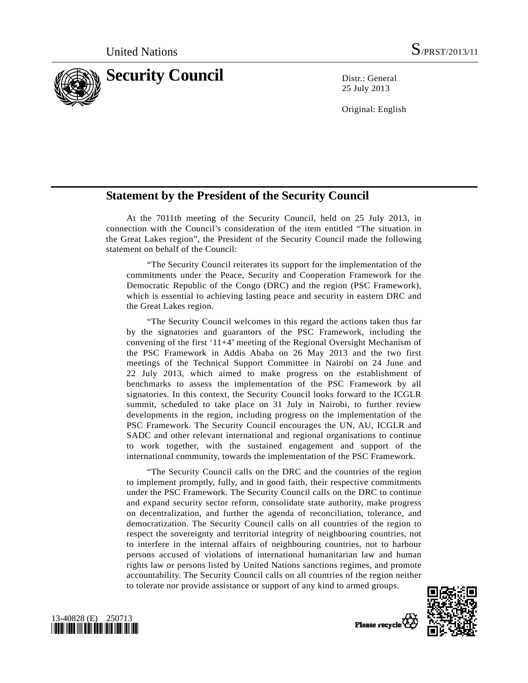

25 July 2013

Original: English

## **Statement by the President of the Security Council**

 At the 7011th meeting of the Security Council, held on 25 July 2013, in connection with the Council's consideration of the item entitled "The situation in the Great Lakes region", the President of the Security Council made the following statement on behalf of the Council:

 "The Security Council reiterates its support for the implementation of the commitments under the Peace, Security and Cooperation Framework for the Democratic Republic of the Congo (DRC) and the region (PSC Framework), which is essential to achieving lasting peace and security in eastern DRC and the Great Lakes region.

 "The Security Council welcomes in this regard the actions taken thus far by the signatories and guarantors of the PSC Framework, including the convening of the first '11+4' meeting of the Regional Oversight Mechanism of the PSC Framework in Addis Ababa on 26 May 2013 and the two first meetings of the Technical Support Committee in Nairobi on 24 June and 22 July 2013, which aimed to make progress on the establishment of benchmarks to assess the implementation of the PSC Framework by all signatories. In this context, the Security Council looks forward to the ICGLR summit, scheduled to take place on 31 July in Nairobi, to further review developments in the region, including progress on the implementation of the PSC Framework. The Security Council encourages the UN, AU, ICGLR and SADC and other relevant international and regional organisations to continue to work together, with the sustained engagement and support of the international community, towards the implementation of the PSC Framework.

 "The Security Council calls on the DRC and the countries of the region to implement promptly, fully, and in good faith, their respective commitments under the PSC Framework. The Security Council calls on the DRC to continue and expand security sector reform, consolidate state authority, make progress on decentralization, and further the agenda of reconciliation, tolerance, and democratization. The Security Council calls on all countries of the region to respect the sovereignty and territorial integrity of neighbouring countries, not to interfere in the internal affairs of neighbouring countries, not to harbour persons accused of violations of international humanitarian law and human rights law or persons listed by United Nations sanctions regimes, and promote accountability. The Security Council calls on all countries of the region neither to tolerate nor provide assistance or support of any kind to armed groups.



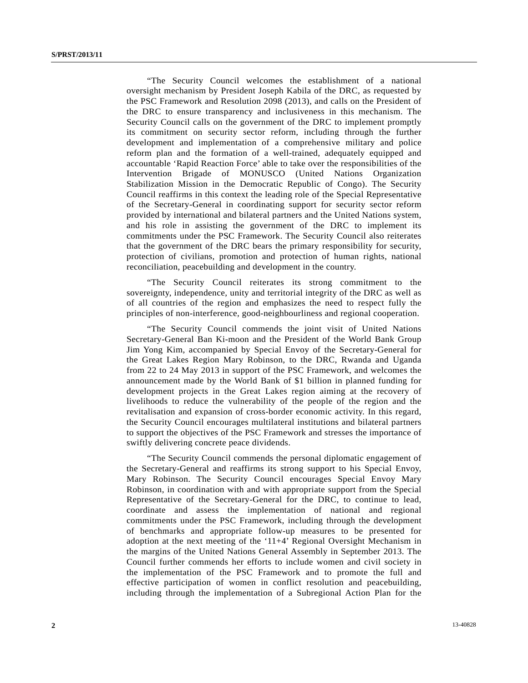"The Security Council welcomes the establishment of a national oversight mechanism by President Joseph Kabila of the DRC, as requested by the PSC Framework and Resolution 2098 (2013), and calls on the President of the DRC to ensure transparency and inclusiveness in this mechanism. The Security Council calls on the government of the DRC to implement promptly its commitment on security sector reform, including through the further development and implementation of a comprehensive military and police reform plan and the formation of a well-trained, adequately equipped and accountable 'Rapid Reaction Force' able to take over the responsibilities of the Intervention Brigade of MONUSCO (United Nations Organization Stabilization Mission in the Democratic Republic of Congo). The Security Council reaffirms in this context the leading role of the Special Representative of the Secretary-General in coordinating support for security sector reform provided by international and bilateral partners and the United Nations system, and his role in assisting the government of the DRC to implement its commitments under the PSC Framework. The Security Council also reiterates that the government of the DRC bears the primary responsibility for security, protection of civilians, promotion and protection of human rights, national reconciliation, peacebuilding and development in the country.

 "The Security Council reiterates its strong commitment to the sovereignty, independence, unity and territorial integrity of the DRC as well as of all countries of the region and emphasizes the need to respect fully the principles of non-interference, good-neighbourliness and regional cooperation.

 "The Security Council commends the joint visit of United Nations Secretary-General Ban Ki-moon and the President of the World Bank Group Jim Yong Kim, accompanied by Special Envoy of the Secretary-General for the Great Lakes Region Mary Robinson, to the DRC, Rwanda and Uganda from 22 to 24 May 2013 in support of the PSC Framework, and welcomes the announcement made by the World Bank of \$1 billion in planned funding for development projects in the Great Lakes region aiming at the recovery of livelihoods to reduce the vulnerability of the people of the region and the revitalisation and expansion of cross-border economic activity. In this regard, the Security Council encourages multilateral institutions and bilateral partners to support the objectives of the PSC Framework and stresses the importance of swiftly delivering concrete peace dividends.

 "The Security Council commends the personal diplomatic engagement of the Secretary-General and reaffirms its strong support to his Special Envoy, Mary Robinson. The Security Council encourages Special Envoy Mary Robinson, in coordination with and with appropriate support from the Special Representative of the Secretary-General for the DRC, to continue to lead, coordinate and assess the implementation of national and regional commitments under the PSC Framework, including through the development of benchmarks and appropriate follow-up measures to be presented for adoption at the next meeting of the '11+4' Regional Oversight Mechanism in the margins of the United Nations General Assembly in September 2013. The Council further commends her efforts to include women and civil society in the implementation of the PSC Framework and to promote the full and effective participation of women in conflict resolution and peacebuilding, including through the implementation of a Subregional Action Plan for the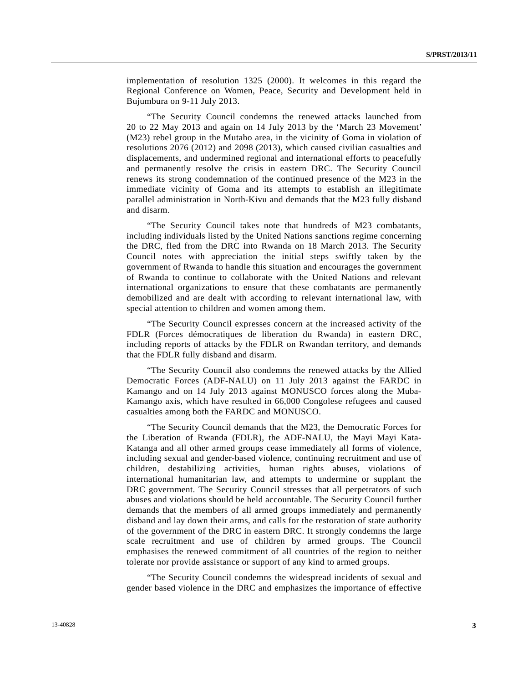implementation of resolution 1325 (2000). It welcomes in this regard the Regional Conference on Women, Peace, Security and Development held in Bujumbura on 9-11 July 2013.

 "The Security Council condemns the renewed attacks launched from 20 to 22 May 2013 and again on 14 July 2013 by the 'March 23 Movement' (M23) rebel group in the Mutaho area, in the vicinity of Goma in violation of resolutions 2076 (2012) and 2098 (2013), which caused civilian casualties and displacements, and undermined regional and international efforts to peacefully and permanently resolve the crisis in eastern DRC. The Security Council renews its strong condemnation of the continued presence of the M23 in the immediate vicinity of Goma and its attempts to establish an illegitimate parallel administration in North-Kivu and demands that the M23 fully disband and disarm.

 "The Security Council takes note that hundreds of M23 combatants, including individuals listed by the United Nations sanctions regime concerning the DRC, fled from the DRC into Rwanda on 18 March 2013. The Security Council notes with appreciation the initial steps swiftly taken by the government of Rwanda to handle this situation and encourages the government of Rwanda to continue to collaborate with the United Nations and relevant international organizations to ensure that these combatants are permanently demobilized and are dealt with according to relevant international law, with special attention to children and women among them.

 "The Security Council expresses concern at the increased activity of the FDLR (Forces démocratiques de liberation du Rwanda) in eastern DRC, including reports of attacks by the FDLR on Rwandan territory, and demands that the FDLR fully disband and disarm.

 "The Security Council also condemns the renewed attacks by the Allied Democratic Forces (ADF-NALU) on 11 July 2013 against the FARDC in Kamango and on 14 July 2013 against MONUSCO forces along the Muba-Kamango axis, which have resulted in 66,000 Congolese refugees and caused casualties among both the FARDC and MONUSCO.

 "The Security Council demands that the M23, the Democratic Forces for the Liberation of Rwanda (FDLR), the ADF-NALU, the Mayi Mayi Kata-Katanga and all other armed groups cease immediately all forms of violence, including sexual and gender-based violence, continuing recruitment and use of children, destabilizing activities, human rights abuses, violations of international humanitarian law, and attempts to undermine or supplant the DRC government. The Security Council stresses that all perpetrators of such abuses and violations should be held accountable. The Security Council further demands that the members of all armed groups immediately and permanently disband and lay down their arms, and calls for the restoration of state authority of the government of the DRC in eastern DRC. It strongly condemns the large scale recruitment and use of children by armed groups. The Council emphasises the renewed commitment of all countries of the region to neither tolerate nor provide assistance or support of any kind to armed groups.

 "The Security Council condemns the widespread incidents of sexual and gender based violence in the DRC and emphasizes the importance of effective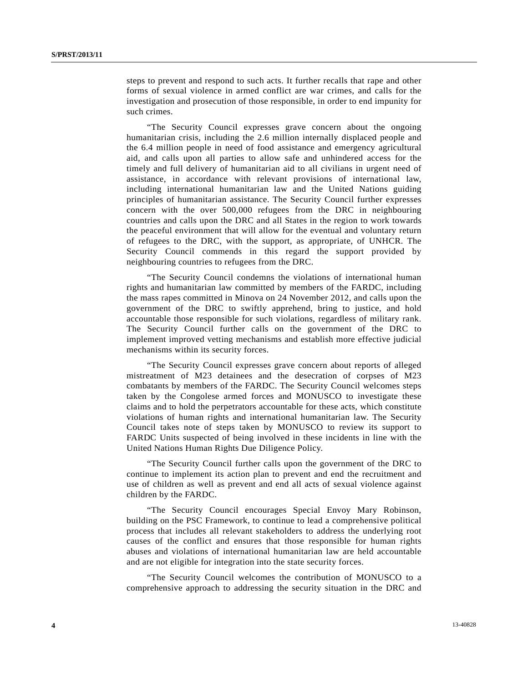steps to prevent and respond to such acts. It further recalls that rape and other forms of sexual violence in armed conflict are war crimes, and calls for the investigation and prosecution of those responsible, in order to end impunity for such crimes.

 "The Security Council expresses grave concern about the ongoing humanitarian crisis, including the 2.6 million internally displaced people and the 6.4 million people in need of food assistance and emergency agricultural aid, and calls upon all parties to allow safe and unhindered access for the timely and full delivery of humanitarian aid to all civilians in urgent need of assistance, in accordance with relevant provisions of international law, including international humanitarian law and the United Nations guiding principles of humanitarian assistance. The Security Council further expresses concern with the over 500,000 refugees from the DRC in neighbouring countries and calls upon the DRC and all States in the region to work towards the peaceful environment that will allow for the eventual and voluntary return of refugees to the DRC, with the support, as appropriate, of UNHCR. The Security Council commends in this regard the support provided by neighbouring countries to refugees from the DRC.

 "The Security Council condemns the violations of international human rights and humanitarian law committed by members of the FARDC, including the mass rapes committed in Minova on 24 November 2012, and calls upon the government of the DRC to swiftly apprehend, bring to justice, and hold accountable those responsible for such violations, regardless of military rank. The Security Council further calls on the government of the DRC to implement improved vetting mechanisms and establish more effective judicial mechanisms within its security forces.

 "The Security Council expresses grave concern about reports of alleged mistreatment of M23 detainees and the desecration of corpses of M23 combatants by members of the FARDC. The Security Council welcomes steps taken by the Congolese armed forces and MONUSCO to investigate these claims and to hold the perpetrators accountable for these acts, which constitute violations of human rights and international humanitarian law. The Security Council takes note of steps taken by MONUSCO to review its support to FARDC Units suspected of being involved in these incidents in line with the United Nations Human Rights Due Diligence Policy.

 "The Security Council further calls upon the government of the DRC to continue to implement its action plan to prevent and end the recruitment and use of children as well as prevent and end all acts of sexual violence against children by the FARDC.

 "The Security Council encourages Special Envoy Mary Robinson, building on the PSC Framework, to continue to lead a comprehensive political process that includes all relevant stakeholders to address the underlying root causes of the conflict and ensures that those responsible for human rights abuses and violations of international humanitarian law are held accountable and are not eligible for integration into the state security forces.

 "The Security Council welcomes the contribution of MONUSCO to a comprehensive approach to addressing the security situation in the DRC and